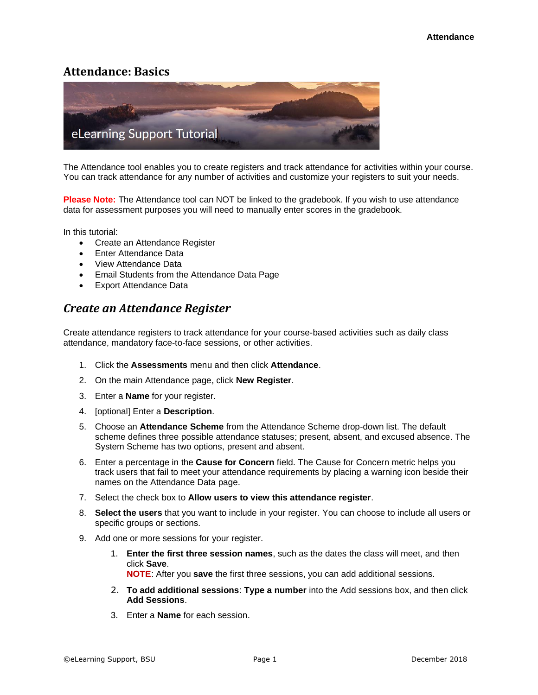# **Attendance: Basics**



The Attendance tool enables you to create registers and track attendance for activities within your course. You can track attendance for any number of activities and customize your registers to suit your needs.

**Please Note:** The Attendance tool can NOT be linked to the gradebook. If you wish to use attendance data for assessment purposes you will need to manually enter scores in the gradebook.

In this tutorial:

- Create an Attendance Register
- Enter Attendance Data
- View Attendance Data
- Email Students from the Attendance Data Page
- Export Attendance Data

### *Create an Attendance Register*

Create attendance registers to track attendance for your course-based activities such as daily class attendance, mandatory face-to-face sessions, or other activities.

- 1. Click the **Assessments** menu and then click **Attendance**.
- 2. On the main Attendance page, click **New Register**.
- 3. Enter a **Name** for your register.
- 4. [optional] Enter a **Description**.
- 5. Choose an **Attendance Scheme** from the Attendance Scheme drop-down list. The default scheme defines three possible attendance statuses; present, absent, and excused absence. The System Scheme has two options, present and absent.
- 6. Enter a percentage in the **Cause for Concern** field. The Cause for Concern metric helps you track users that fail to meet your attendance requirements by placing a warning icon beside their names on the Attendance Data page.
- 7. Select the check box to **Allow users to view this attendance register**.
- 8. **Select the users** that you want to include in your register. You can choose to include all users or specific groups or sections.
- 9. Add one or more sessions for your register.
	- 1. **Enter the first three session names**, such as the dates the class will meet, and then click **Save**.

**NOTE**: After you **save** the first three sessions, you can add additional sessions.

- 2. **To add additional sessions**: **Type a number** into the Add sessions box, and then click **Add Sessions**.
- 3. Enter a **Name** for each session.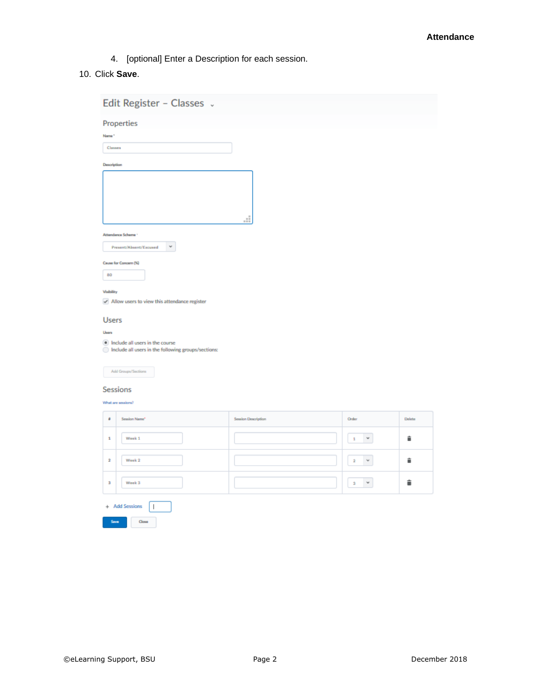4. [optional] Enter a Description for each session.

#### 10. Click **Save**.

| Edit Register - Classes v                                                                                                                 |                           |                                      |        |  |  |  |  |
|-------------------------------------------------------------------------------------------------------------------------------------------|---------------------------|--------------------------------------|--------|--|--|--|--|
| <b>Properties</b><br>Name*<br>Classes<br>Description                                                                                      |                           |                                      |        |  |  |  |  |
| Attendance Scheme <sup>+</sup><br>$\sim$<br>Present/Absent/Excused                                                                        | цĒ,                       |                                      |        |  |  |  |  |
| Cause for Concern (%)<br>80<br>Visibility<br>Allow users to view this attendance register                                                 |                           |                                      |        |  |  |  |  |
| <b>Users</b><br>Users<br>(a) Include all users in the course<br>nclude all users in the following groups/sections:<br>Add Groups/Sections |                           |                                      |        |  |  |  |  |
| Sessions<br>What are sessions?                                                                                                            |                           |                                      |        |  |  |  |  |
| ٠<br>Session Name*                                                                                                                        | <b>Sexion Description</b> | Order                                | Delete |  |  |  |  |
| Week <sub>1</sub><br>$\mathbf 1$                                                                                                          |                           | $\check{\phantom{a}}$<br>$\,$ 1      | î      |  |  |  |  |
| Week 2<br>$\bar{\bf 2}$                                                                                                                   |                           | $\bf{2}$<br>$\check{\mathbf{v}}$     | î      |  |  |  |  |
| Week 3<br>з                                                                                                                               |                           | $\check{\phantom{a}}$<br>$\mathbf 3$ | û      |  |  |  |  |
| + Add Sessions<br>$\overline{\phantom{a}}$                                                                                                |                           |                                      |        |  |  |  |  |
| Save<br>Close                                                                                                                             |                           |                                      |        |  |  |  |  |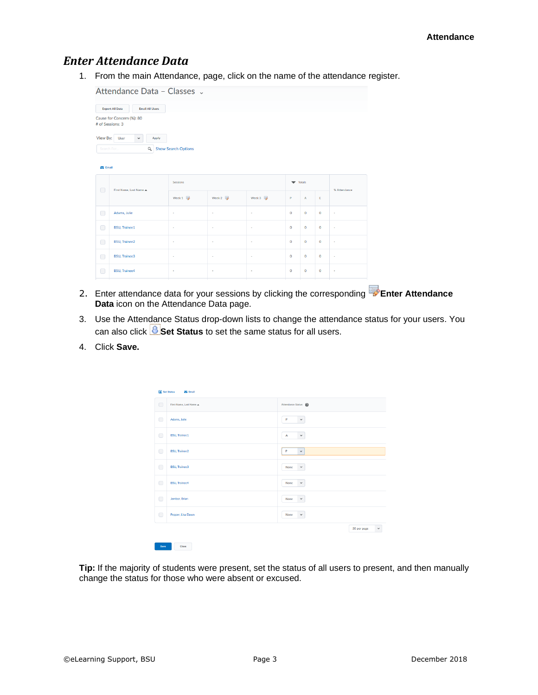### *Enter Attendance Data*

1. From the main Attendance, page, click on the name of the attendance register.

| Attendance Data - Classes v                                                                                                                                                            |                       |           |                          |                          |              |                           |              |                          |
|----------------------------------------------------------------------------------------------------------------------------------------------------------------------------------------|-----------------------|-----------|--------------------------|--------------------------|--------------|---------------------------|--------------|--------------------------|
| <b>Export All Data</b><br><b>Email All Users</b><br>Cause for Concern (%): 80<br># of Sessions: 3<br>View By:<br>User<br>Apply<br>$\checkmark$<br>Q Show Search Options<br>Search For. |                       |           |                          |                          |              |                           |              |                          |
| $\sum$ Email<br><b>Sessions</b><br>$\blacktriangledown$ Totals                                                                                                                         |                       |           |                          |                          |              | % Attendance              |              |                          |
| $\Box$                                                                                                                                                                                 | First Name, Last Name | Week $1$  | Week $2 \Rightarrow$     | Week $3 \frac{1}{2}$     | P            | $\boldsymbol{\mathsf{A}}$ | $\mathsf E$  |                          |
| $\bigcap$                                                                                                                                                                              | Adams, Julie          | ٠         | ٠                        | ٠                        | $\mathbf 0$  | $\mathbf 0$               | $\mathbf{O}$ | ٠                        |
| $\bigcap$                                                                                                                                                                              | <b>BSU, Trainee1</b>  | ٠         | ٠                        | ٠                        | $\mathbf{O}$ | $\mathbf 0$               | $\mathbf 0$  | ×                        |
| $\bigcirc$                                                                                                                                                                             | <b>BSU, Trainee2</b>  | $\bar{a}$ | $\blacksquare$           | ٠                        | $\mathbf 0$  | $\mathbf 0$               | $\mathbf 0$  | $\blacksquare$           |
| $\bigcap$                                                                                                                                                                              | <b>BSU, Trainee3</b>  | $\sim$    | $\overline{\phantom{a}}$ | $\overline{\phantom{a}}$ | $\mathbf 0$  | $\mathbf 0$               | $\mathbf 0$  | $\overline{\phantom{a}}$ |
| $\bigcirc$                                                                                                                                                                             | <b>BSU, Trainee4</b>  | ٠         | ٠                        | $\overline{\phantom{a}}$ | $\mathbf 0$  | $\mathbf{0}$              | $\mathbf{0}$ | ÷                        |
|                                                                                                                                                                                        |                       |           |                          |                          |              |                           |              |                          |

- 2. Enter attendance data for your sessions by clicking the corresponding **Enter Attendance Data** icon on the Attendance Data page.
- 3. Use the Attendance Status drop-down lists to change the attendance status for your users. You can also click **Set Status** to set the same status for all users.
- 4. Click **Save.**

|            | Set Status<br>$\sum$ Email |                             |
|------------|----------------------------|-----------------------------|
| $\Box$     | First Name, Last Name A    | Attendance Status @         |
| $\bigcap$  | Adams, Julie               | P<br>$\checkmark$           |
| $\bigcirc$ | <b>BSU, Trainee1</b>       | A<br>$\checkmark$           |
| $\Box$     | <b>BSU, Trainee2</b>       | P<br>$\checkmark$           |
| $\Box$     | <b>BSU, Trainee3</b>       | None<br>$\checkmark$        |
| $\bigcirc$ | <b>BSU, Trainee4</b>       | None<br>$\checkmark$        |
| $\bigcap$  | Jambor, Brian              | None<br>$\checkmark$        |
| $\bigcirc$ | Pepper, Lisa Dawn          | None<br>$\checkmark$        |
|            |                            | 50 per page<br>$\checkmark$ |

**Tip:** If the majority of students were present, set the status of all users to present, and then manually change the status for those who were absent or excused.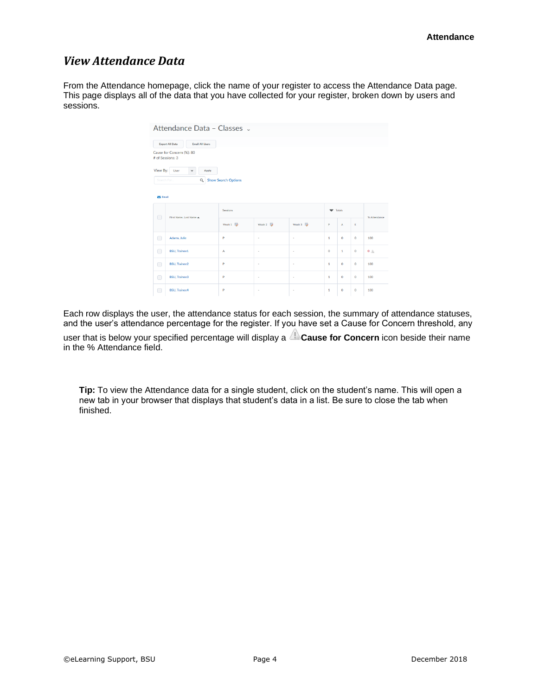## *View Attendance Data*

From the Attendance homepage, click the name of your register to access the Attendance Data page. This page displays all of the data that you have collected for your register, broken down by users and sessions.

|                                         | Attendance Data - Classes v                      |                       |                       |                     |                 |              |              |              |
|-----------------------------------------|--------------------------------------------------|-----------------------|-----------------------|---------------------|-----------------|--------------|--------------|--------------|
|                                         | <b>Export All Data</b><br><b>Email All Users</b> |                       |                       |                     |                 |              |              |              |
|                                         | Cause for Concern (%): 80<br># of Sessions: 3    |                       |                       |                     |                 |              |              |              |
| View By:<br>Search For<br>$\sum$ Email  | User<br>$\checkmark$<br>Apply                    | Q Show Search Options |                       |                     |                 |              |              |              |
| $\Box$                                  | First Name, Last Name A                          | Sessions              |                       |                     | <b>v</b> Totals |              |              |              |
|                                         |                                                  | Week $1$              | Week $2 \overline{5}$ | Week $3 \quad \Box$ | p               | A            | E            | % Attendance |
| $\Box$                                  | Adams, Julie                                     | P                     | ×                     | ×.                  | $\mathbf{1}$    | $\mathbf 0$  | $\mathbf{O}$ | 100          |
| $\Box$                                  | <b>BSU.</b> Trainee1                             | A                     | ×                     | $\sim$              | $\circ$         | $\mathbf{1}$ | $\bullet$    | $0$ $\oplus$ |
| $\Box$                                  | <b>BSU, Trainee2</b>                             | P                     | ×                     | $\sim$              | $\mathbf{1}$    | $\mathbf 0$  | $\bullet$    | 100          |
| $\begin{array}{ccc} \hline \end{array}$ | <b>BSU, Trainee3</b>                             | P                     | ٠                     | ٠                   | $\mathbf{1}$    | $\mathbf 0$  | $\bullet$    | 100          |
| $\Box$                                  | <b>BSU.</b> Trainee4                             | P                     | ٠                     | ٠                   | $\mathbf{1}$    | $\mathbf 0$  | $\bullet$    | 100          |

Each row displays the user, the attendance status for each session, the summary of attendance statuses, and the user's attendance percentage for the register. If you have set a Cause for Concern threshold, any user that is below your specified percentage will display a **Cause for Concern** icon beside their name in the % Attendance field.

**Tip:** To view the Attendance data for a single student, click on the student's name. This will open a new tab in your browser that displays that student's data in a list. Be sure to close the tab when finished.